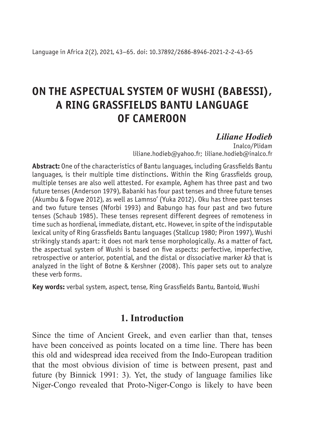# **ON THE ASPECTUAL SYSTEM OF WUSHI (BABESSI), A RING GRASSFIELDS BANTU LANGUAGE OF CAMEROON**

# *Liliane Hodieb*

Inalco/Plidam liliane.hodieb@yahoo.fr; liliane.hodieb@inalco.fr

**Abstract:** One of the characteristics of Bantu languages, including Grassfields Bantu languages, is their multiple time distinctions. Within the Ring Grassfields group, multiple tenses are also well attested. For example, Aghem has three past and two future tenses (Anderson 1979), Babanki has four past tenses and three future tenses (Akumbu & Fogwe 2012), as well as Lamnso' (Yuka 2012). Oku has three past tenses and two future tenses (Nforbi 1993) and Babungo has four past and two future tenses (Schaub 1985). These tenses represent different degrees of remoteness in time such as hordienal, immediate, distant, etc. However, in spite of the indisputable lexical unity of Ring Grassfields Bantu languages (Stallcup 1980; Piron 1997), Wushi strikingly stands apart: it does not mark tense morphologically. As a matter of fact, the aspectual system of Wushi is based on five aspects: perfective, imperfective, retrospective or anterior, potential, and the distal or dissociative marker *kə̀* that is analyzed in the light of Botne & Kershner (2008). This paper sets out to analyze these verb forms.

**Key words:** verbal system, aspect, tense, Ring Grassfields Bantu, Bantoid, Wushi

### **1. Introduction**

Since the time of Ancient Greek, and even earlier than that, tenses have been conceived as points located on a time line. There has been this old and widespread idea received from the Indo-European tradition that the most obvious division of time is between present, past and future (by Binnick 1991: 3). Yet, the study of language families like Niger-Congo revealed that Proto-Niger-Congo is likely to have been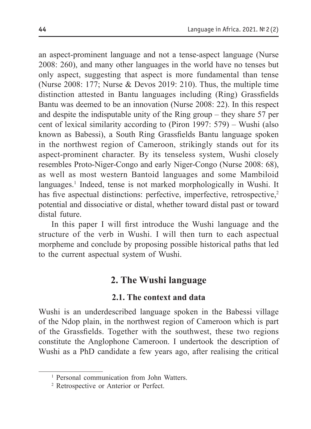an aspect-prominent language and not a tense-aspect language (Nurse 2008: 260), and many other languages in the world have no tenses but only aspect, suggesting that aspect is more fundamental than tense (Nurse 2008: 177; Nurse & Devos 2019: 210). Thus, the multiple time distinction attested in Bantu languages including (Ring) Grassfields Bantu was deemed to be an innovation (Nurse 2008: 22). In this respect and despite the indisputable unity of the Ring group – they share 57 per cent of lexical similarity according to (Piron 1997: 579) – Wushi (also known as Babessi), a South Ring Grassfields Bantu language spoken in the northwest region of Cameroon, strikingly stands out for its aspect-prominent character. By its tenseless system, Wushi closely resembles Proto-Niger-Congo and early Niger-Congo (Nurse 2008: 68), as well as most western Bantoid languages and some Mambiloid languages.<sup>1</sup> Indeed, tense is not marked morphologically in Wushi. It has five aspectual distinctions: perfective, imperfective, retrospective,<sup>2</sup> potential and dissociative or distal, whether toward distal past or toward distal future.

In this paper I will first introduce the Wushi language and the structure of the verb in Wushi. I will then turn to each aspectual morpheme and conclude by proposing possible historical paths that led to the current aspectual system of Wushi.

# **2. The Wushi language**

### **2.1. The context and data**

Wushi is an underdescribed language spoken in the Babessi village of the Ndop plain, in the northwest region of Cameroon which is part of the Grassfields. Together with the southwest, these two regions constitute the Anglophone Cameroon. I undertook the description of Wushi as a PhD candidate a few years ago, after realising the critical

<sup>1</sup> Personal communication from John Watters.

<sup>2</sup> Retrospective or Anterior or Perfect.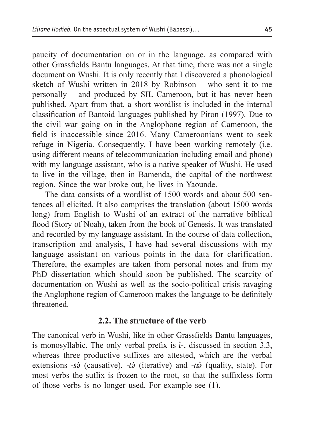paucity of documentation on or in the language, as compared with other Grassfields Bantu languages. At that time, there was not a single document on Wushi. It is only recently that I discovered a phonological sketch of Wushi written in 2018 by Robinson – who sent it to me personally – and produced by SIL Cameroon, but it has never been published. Apart from that, a short wordlist is included in the internal classification of Bantoid languages published by Piron (1997). Due to the civil war going on in the Anglophone region of Cameroon, the field is inaccessible since 2016. Many Cameroonians went to seek refuge in Nigeria. Consequently, I have been working remotely (i.e. using different means of telecommunication including email and phone) with my language assistant, who is a native speaker of Wushi. He used to live in the village, then in Bamenda, the capital of the northwest region. Since the war broke out, he lives in Yaounde.

The data consists of a wordlist of 1500 words and about 500 sentences all elicited. It also comprises the translation (about 1500 words long) from English to Wushi of an extract of the narrative biblical flood (Story of Noah), taken from the book of Genesis. It was translated and recorded by my language assistant. In the course of data collection, transcription and analysis, I have had several discussions with my language assistant on various points in the data for clarification. Therefore, the examples are taken from personal notes and from my PhD dissertation which should soon be published. The scarcity of documentation on Wushi as well as the socio-political crisis ravaging the Anglophone region of Cameroon makes the language to be definitely threatened.

#### **2.2. The structure of the verb**

The canonical verb in Wushi, like in other Grassfields Bantu languages, is monosyllabic. The only verbal prefix is *ì‑*, discussed in section 3.3, whereas three productive suffixes are attested, which are the verbal extensions *‑sə̀* (causative), *‑tə̀* (iterative) and *‑nə̀* (quality, state). For most verbs the suffix is frozen to the root, so that the suffixless form of those verbs is no longer used. For example see (1).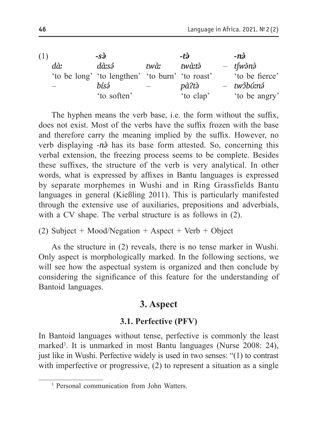(1) *‑sə̀ ‑tə̀ ‑nə̀ dàː* 'to be long' 'to lengthen' 'to burn' 'to roast' *dàːsə́ twàː twàːtə̀* – *tʃwə̀nə̀* 'to be fierce' – *bísə́* 'to soften' – *pàʔtə̀* 'to clap' – *twɔ̂bʊ́ːnə́* 'to be angry'

The hyphen means the verb base, i.e. the form without the suffix, does not exist. Most of the verbs have the suffix frozen with the base and therefore carry the meaning implied by the suffix. However, no verb displaying  $-n\delta$  has its base form attested. So, concerning this verbal extension, the freezing process seems to be complete. Besides these suffixes, the structure of the verb is very analytical. In other words, what is expressed by affixes in Bantu languages is expressed by separate morphemes in Wushi and in Ring Grassfields Bantu languages in general (Kießling 2011). This is particularly manifested through the extensive use of auxiliaries, prepositions and adverbials, with a CV shape. The verbal structure is as follows in (2).

(2) Subject + Mood/Negation + Aspect + Verb + Object

As the structure in (2) reveals, there is no tense marker in Wushi. Only aspect is morphologically marked. In the following sections, we will see how the aspectual system is organized and then conclude by considering the significance of this feature for the understanding of Bantoid languages.

# **3. Aspect**

## **3.1. Perfective (PFV)**

In Bantoid languages without tense, perfective is commonly the least marked<sup>3</sup>. It is unmarked in most Bantu languages (Nurse 2008: 24), just like in Wushi. Perfective widely is used in two senses: "(1) to contrast with imperfective or progressive, (2) to represent a situation as a single

<sup>3</sup> Personal communication from John Watters.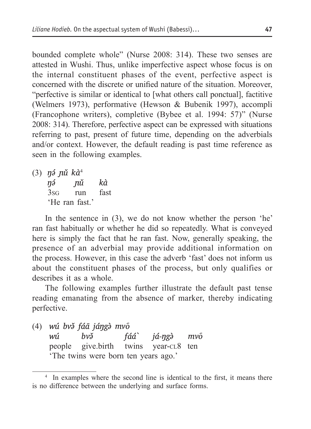bounded complete whole" (Nurse 2008: 314). These two senses are attested in Wushi. Thus, unlike imperfective aspect whose focus is on the internal constituent phases of the event, perfective aspect is concerned with the discrete or unified nature of the situation. Moreover, "perfective is similar or identical to [what others call ponctual], factitive (Welmers 1973), performative (Hewson & Bubenik 1997), accompli (Francophone writers), completive (Bybee et al. 1994: 57)" (Nurse 2008: 314). Therefore, perfective aspect can be expressed with situations referring to past, present of future time, depending on the adverbials and/or context. However, the default reading is past time reference as seen in the following examples.

(3) *ŋə́ ɲǔ kà*<sup>4</sup> *ŋə́ ɲǔ kà* 3sg run fast 'He ran fast.'

In the sentence in (3), we do not know whether the person 'he' ran fast habitually or whether he did so repeatedly. What is conveyed here is simply the fact that he ran fast. Now, generally speaking, the presence of an adverbial may provide additional information on the process. However, in this case the adverb 'fast' does not inform us about the constituent phases of the process, but only qualifies or describes it as a whole.

The following examples further illustrate the default past tense reading emanating from the absence of marker, thereby indicating perfective.

(4) *wú bvə̌ fáā jáŋgə̀ mvo᷇ wú bvə̌ fáá ̀ já-ŋgə̀ mvo᷇* people give.birth twins year-cl8 ten 'The twins were born ten years ago.'

<sup>4</sup> In examples where the second line is identical to the first, it means there is no difference between the underlying and surface forms.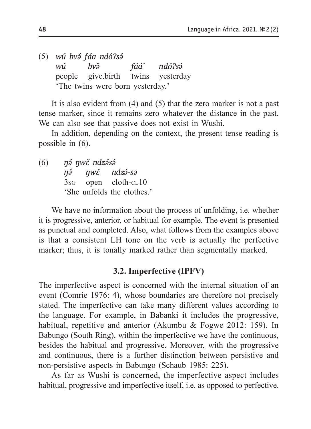(5) *wú bvə́ fáā ndóʔsə́ wú bvə̌ fáá ̀ ndóʔsə́* people give.birth twins yesterday 'The twins were born yesterday.'

It is also evident from (4) and (5) that the zero marker is not a past tense marker, since it remains zero whatever the distance in the past. We can also see that passive does not exist in Wushi.

In addition, depending on the context, the present tense reading is possible in (6).

(6) *ŋə́ ŋwɛ̌ ndzə́sə́ ŋə́ ŋwɛ̌ ndzə́-sə* 3s<sub>G</sub> open cloth-cl<sub>10</sub> 'She unfolds the clothes.'

We have no information about the process of unfolding, i.e. whether it is progressive, anterior, or habitual for example. The event is presented as punctual and completed. Also, what follows from the examples above is that a consistent LH tone on the verb is actually the perfective marker; thus, it is tonally marked rather than segmentally marked.

### **3.2. Imperfective (IPFV)**

The imperfective aspect is concerned with the internal situation of an event (Comrie 1976: 4), whose boundaries are therefore not precisely stated. The imperfective can take many different values according to the language. For example, in Babanki it includes the progressive, habitual, repetitive and anterior (Akumbu & Fogwe 2012: 159). In Babungo (South Ring), within the imperfective we have the continuous, besides the habitual and progressive. Moreover, with the progressive and continuous, there is a further distinction between persistive and non-persistive aspects in Babungo (Schaub 1985: 225).

As far as Wushi is concerned, the imperfective aspect includes habitual, progressive and imperfective itself, i.e. as opposed to perfective.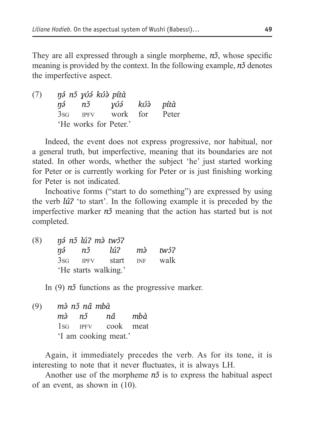They are all expressed through a single morpheme,  $n\delta$ , whose specific meaning is provided by the context. In the following example, *n*<sup>3</sup> denotes the imperfective aspect.

(7) *ŋə́ nɔ̌ ɣʊ́ə́ kʊ́ə̀ pítà ŋə́ nɔ̌ ɣʊ́ə́ kʊ́ə̀ pítà* 3sg ipfv work for Peter 'He works for Peter.'

Indeed, the event does not express progressive, nor habitual, nor a general truth, but imperfective, meaning that its boundaries are not stated. In other words, whether the subject 'he' just started working for Peter or is currently working for Peter or is just finishing working for Peter is not indicated.

Inchoative forms ("start to do something") are expressed by using the verb *lúʔ* 'to start'. In the following example it is preceded by the imperfective marker  $n\delta$  meaning that the action has started but is not completed.

(8) *ŋə́ nɔ̌ lúʔ mə̀ twɔ̌ʔ ŋə́ nɔ̌ lúʔ mə̀ twɔ́ʔ* 3sg ipfv start inf walk 'He starts walking.'

In (9) *n*<sup>3</sup> functions as the progressive marker.

(9) *mə̀ nɔ̌ nâ mbà mə̀ nɔ̌ nâ mbà* 1sg ipfv cook meat 'I am cooking meat.'

Again, it immediately precedes the verb. As for its tone, it is interesting to note that it never fluctuates, it is always LH.

Another use of the morpheme  $n\delta$  is to express the habitual aspect of an event, as shown in (10).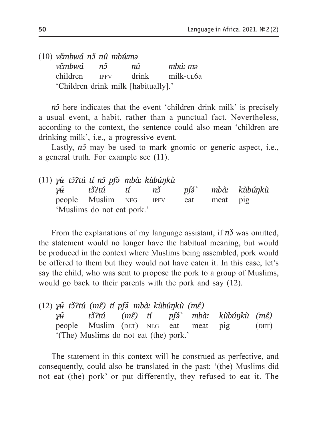|           | $(10)$ věmbwá nž nů mb <del>ú</del> mā |       |              |
|-----------|----------------------------------------|-------|--------------|
| věmbwá nž |                                        | nû    | $mb\{u}$ -mə |
| children  | <b>IPFV</b>                            | drink | milk-cL6a    |
|           | 'Children drink milk [habitually].'    |       |              |

*n*<sup>3</sup> here indicates that the event 'children drink milk' is precisely a usual event, a habit, rather than a punctual fact. Nevertheless, according to the context, the sentence could also mean 'children are drinking milk', i.e., a progressive event.

Lastly, *n*<sup>y</sup> may be used to mark gnomic or generic aspect, i.e., a general truth. For example see (11).

|  | (11) y <del>ũ</del> tǒ tú tí nǒ pf� mbà: kùbúnkù |  |     |          |  |
|--|--------------------------------------------------|--|-----|----------|--|
|  | y <del>ũ</del> tǒ?tú tí nǒ pfó` mbà: kùbúnkù     |  |     |          |  |
|  | people Muslim NEG IPFV                           |  | eat | meat pig |  |
|  | 'Muslims do not eat pork.'                       |  |     |          |  |

From the explanations of my language assistant, if  $n\delta$  was omitted, the statement would no longer have the habitual meaning, but would be produced in the context where Muslims being assembled, pork would be offered to them but they would not have eaten it. In this case, let's say the child, who was sent to propose the pork to a group of Muslims, would go back to their parents with the pork and say (12).

|  | $(12)$ y <del>ũ</del> tǒ tú (mề) tí pf $\tilde{\theta}$ mbà: kù búnkù (mề) |  |  |                                                     |  |
|--|----------------------------------------------------------------------------|--|--|-----------------------------------------------------|--|
|  |                                                                            |  |  | y <del>ũ</del> tǒ?tú (mề) tí pfó` mbà: kùbúnkù (mề) |  |
|  |                                                                            |  |  | people Muslim (DET) NEG eat meat pig (DET)          |  |
|  | '(The) Muslims do not eat (the) pork.'                                     |  |  |                                                     |  |

The statement in this context will be construed as perfective, and consequently, could also be translated in the past: '(the) Muslims did not eat (the) pork' or put differently, they refused to eat it. The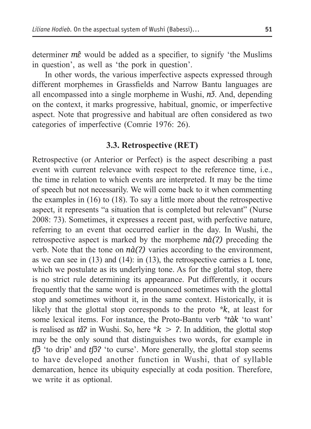determiner *mɛ̂*would be added as a specifier, to signify 'the Muslims in question', as well as 'the pork in question'.

In other words, the various imperfective aspects expressed through different morphemes in Grassfields and Narrow Bantu languages are all encompassed into a single morpheme in Wushi, *nɔ̌*. And, depending on the context, it marks progressive, habitual, gnomic, or imperfective aspect. Note that progressive and habitual are often considered as two categories of imperfective (Comrie 1976: 26).

#### **3.3. Retrospective (RET)**

Retrospective (or Anterior or Perfect) is the aspect describing a past event with current relevance with respect to the reference time, i.e., the time in relation to which events are interpreted. It may be the time of speech but not necessarily. We will come back to it when commenting the examples in (16) to (18). To say a little more about the retrospective aspect, it represents "a situation that is completed but relevant" (Nurse 2008: 73). Sometimes, it expresses a recent past, with perfective nature, referring to an event that occurred earlier in the day. In Wushi, the retrospective aspect is marked by the morpheme *nà(ʔ)* preceding the verb. Note that the tone on *nà(ʔ)* varies according to the environment, as we can see in  $(13)$  and  $(14)$ : in  $(13)$ , the retrospective carries a L tone, which we postulate as its underlying tone. As for the glottal stop, there is no strict rule determining its appearance. Put differently, it occurs frequently that the same word is pronounced sometimes with the glottal stop and sometimes without it, in the same context. Historically, it is likely that the glottal stop corresponds to the proto *\*k*, at least for some lexical items. For instance, the Proto-Bantu verb *\*tàk* 'to want' is realised as  $t\tilde{a}$ <sup>2</sup> in Wushi. So, here  $k > 2$ . In addition, the glottal stop may be the only sound that distinguishes two words, for example in *tʃɔ̂* 'to drip' and *tʃɔ̂ʔ* 'to curse'. More generally, the glottal stop seems to have developed another function in Wushi, that of syllable demarcation, hence its ubiquity especially at coda position. Therefore, we write it as optional.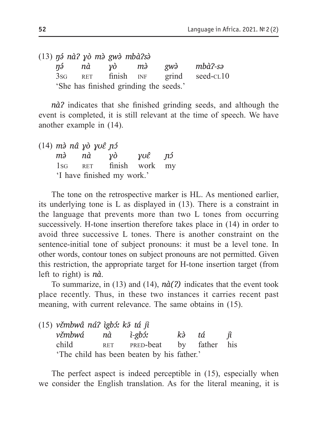|  | $(13)$ ná nà $2$ yò mà gwà mbà $2s$ à  |  |                                                            |
|--|----------------------------------------|--|------------------------------------------------------------|
|  | ná nà yò mà                            |  | gwà mbà?-sə                                                |
|  |                                        |  | 3s <sub>G</sub> RET finish INF grind seed-cl <sub>10</sub> |
|  | 'She has finished grinding the seeds.' |  |                                                            |

*nàʔ* indicates that she finished grinding seeds, and although the event is completed, it is still relevant at the time of speech. We have another example in (14).

(14) *mə̀ nâ ɣò ɣʊɛ̂ ɲɔ́ mə̀ nà ɣò ɣʊɛ̂ ɲɔ́* 1sg ret finish work my 'I have finished my work.'

The tone on the retrospective marker is HL. As mentioned earlier, its underlying tone is L as displayed in (13). There is a constraint in the language that prevents more than two L tones from occurring successively. H-tone insertion therefore takes place in (14) in order to avoid three successive L tones. There is another constraint on the sentence-initial tone of subject pronouns: it must be a level tone. In other words, contour tones on subject pronouns are not permitted. Given this restriction, the appropriate target for H-tone insertion target (from left to right) is *nà*.

To summarize, in (13) and (14), *nà(ʔ)* indicates that the event took place recently. Thus, in these two instances it carries recent past meaning, with current relevance. The same obtains in (15).

| (15) věmbwâ ná? ìgbó: kā tá jì |                                            |    |    |            |
|--------------------------------|--------------------------------------------|----|----|------------|
| věmbwá nà ì-gb <i>í</i> :      |                                            | kà | tá | <i>i</i> ì |
| child                          | RET PRED-beat by father his                |    |    |            |
|                                | 'The child has been beaten by his father.' |    |    |            |

The perfect aspect is indeed perceptible in (15), especially when we consider the English translation. As for the literal meaning, it is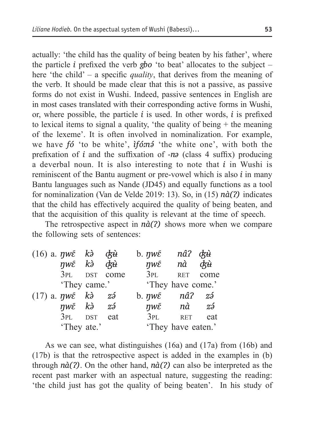actually: 'the child has the quality of being beaten by his father', where the particle *i* prefixed the verb *gbo* 'to beat' allocates to the subject – here 'the child' – a specific *quality*, that derives from the meaning of the verb. It should be made clear that this is not a passive, as passive forms do not exist in Wushi. Indeed, passive sentences in English are in most cases translated with their corresponding active forms in Wushi, or, where possible, the particle *i* is used. In other words, *i* is prefixed to lexical items to signal a quality, 'the quality of being + the meaning of the lexeme'. It is often involved in nominalization. For example, we have *fó* 'to be white', *ìfóːnə́* 'the white one', with both the prefixation of *i* and the suffixation of -*nə* (class 4 suffix) producing a deverbal noun. It is also interesting to note that *i* in Wushi is reminiscent of the Bantu augment or pre-vowel which is also *i* in many Bantu languages such as Nande (JD45) and equally functions as a tool for nominalization (Van de Velde 2019: 13). So, in (15) *nà(ʔ)* indicates that the child has effectively acquired the quality of being beaten, and that the acquisition of this quality is relevant at the time of speech.

The retrospective aspect in *nà(ʔ)* shows more when we compare the following sets of sentences:

| $(16)$ a. $\eta w\bar{\varepsilon}$ kà cku                    |     | b. $\eta w\tilde{\varepsilon}$   | nâ? ʤ <del>ù</del>                       |      |
|---------------------------------------------------------------|-----|----------------------------------|------------------------------------------|------|
| nwé kà drù                                                    |     | $\eta w\epsilon$ nà $d\vec{x}$ ù |                                          |      |
| 3PL DST come                                                  |     | 3PL                              | <b>RET</b>                               | come |
| 'They came.'                                                  |     | 'They have come.'                |                                          |      |
| $(17)$ a. $\eta w\bar{\varepsilon}$ kà $z\tilde{\varepsilon}$ |     | $b. \eta w\tilde{\varepsilon}$   | nâ?                                      | zź   |
| $\eta w\epsilon$ kà zá                                        |     |                                  | $\eta w\tilde{\varepsilon}$ $n\tilde{a}$ | zź   |
| 3PL DST                                                       | eat | 3PL                              | <b>RET</b>                               | eat  |
| 'They ate.'                                                   |     |                                  | 'They have eaten.'                       |      |

As we can see, what distinguishes (16a) and (17a) from (16b) and (17b) is that the retrospective aspect is added in the examples in (b) through *nà(ʔ)*. On the other hand, *nà(ʔ)* can also be interpreted as the recent past marker with an aspectual nature, suggesting the reading: 'the child just has got the quality of being beaten'. In his study of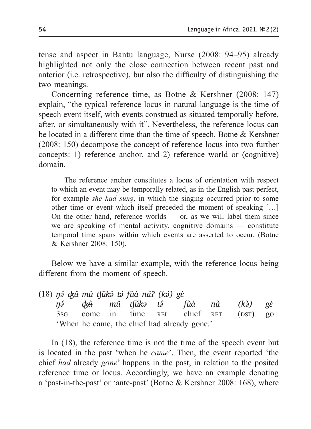tense and aspect in Bantu language, Nurse (2008: 94–95) already highlighted not only the close connection between recent past and anterior (i.e. retrospective), but also the difficulty of distinguishing the two meanings.

Concerning reference time, as Botne & Kershner (2008: 147) explain, "the typical reference locus in natural language is the time of speech event itself, with events construed as situated temporally before, after, or simultaneously with it". Nevertheless, the reference locus can be located in a different time than the time of speech. Botne & Kershner (2008: 150) decompose the concept of reference locus into two further concepts: 1) reference anchor, and 2) reference world or (cognitive) domain.

The reference anchor constitutes a locus of orientation with respect to which an event may be temporally related, as in the English past perfect, for example *she had sung*, in which the singing occurred prior to some other time or event which itself preceded the moment of speaking […] On the other hand, reference worlds — or, as we will label them since we are speaking of mental activity, cognitive domains — constitute temporal time spans within which events are asserted to occur. (Botne & Kershner 2008: 150).

Below we have a similar example, with the reference locus being different from the moment of speech.

|  | $(18)$ ná chi mû tsửkâ tá fùa ná? (ká) gè |  |                                             |                                               |  |
|--|-------------------------------------------|--|---------------------------------------------|-----------------------------------------------|--|
|  |                                           |  |                                             | ná d <del>zù</del> mû tfǔkə tá fùà nà (kà) gè |  |
|  |                                           |  |                                             | 3sG come in time REL chief RET (DST) go       |  |
|  |                                           |  | 'When he came, the chief had already gone.' |                                               |  |

In (18), the reference time is not the time of the speech event but is located in the past 'when he *came*'. Then, the event reported 'the chief *had* already *gone*' happens in the past, in relation to the posited reference time or locus. Accordingly, we have an example denoting a 'past-in-the-past' or 'ante-past' (Botne & Kershner 2008: 168), where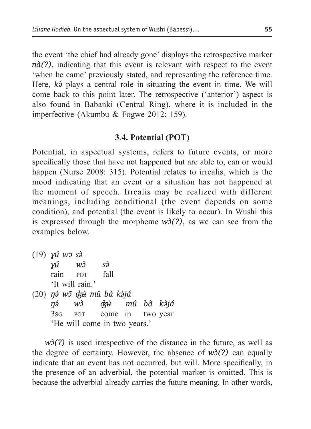the event 'the chief had already gone' displays the retrospective marker *nà(?)*, indicating that this event is relevant with respect to the event 'when he came' previously stated, and representing the reference time. Here, *kə̀* plays a central role in situating the event in time. We will come back to this point later. The retrospective ('anterior') aspect is also found in Babanki (Central Ring), where it is included in the imperfective (Akumbu & Fogwe 2012: 159).

#### **3.4. Potential (POT)**

Potential, in aspectual systems, refers to future events, or more specifically those that have not happened but are able to, can or would happen (Nurse 2008: 315). Potential relates to irrealis, which is the mood indicating that an event or a situation has not happened at the moment of speech. Irrealis may be realized with different meanings, including conditional (the event depends on some condition), and potential (the event is likely to occur). In Wushi this is expressed through the morpheme  $w\delta(2)$ , as we can see from the examples below.

(19) *ɣʉ́ wɔ̄ sə̀ ɣʉ́ wɔ̀ sə̀* rain por fall 'It will rain.' (20) *ŋə́ wɔ̄ ʤʉ̀ mû bà kə̀já ŋə́ wɔ̀ ʤʉ̀ mû bà kə̀já* 3sg pot come in two year 'He will come in two years.'

*w*<sup>2</sup>(2) is used irrespective of the distance in the future, as well as the degree of certainty. However, the absence of  $w\delta(2)$  can equally indicate that an event has not occurred, but will. More specifically, in the presence of an adverbial, the potential marker is omitted. This is because the adverbial already carries the future meaning. In other words,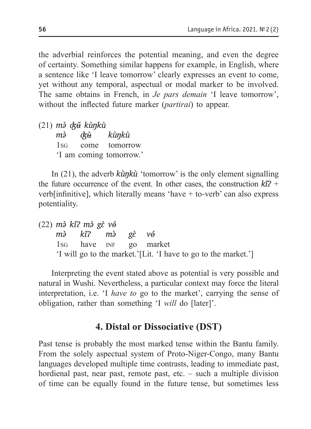the adverbial reinforces the potential meaning, and even the degree of certainty. Something similar happens for example, in English, where a sentence like 'I leave tomorrow' clearly expresses an event to come, yet without any temporal, aspectual or modal marker to be involved. The same obtains in French, in *Je pars demain* 'I leave tomorrow', without the inflected future marker (*partirai*) to appear.

(21) *mə̀ ʤʉ̌ kùŋkù mə̀ ʤʉ̀ kùŋkù* 1sg come tomorrow 'I am coming tomorrow.'

In (21), the adverb *kùŋkù* 'tomorrow' is the only element signalling the future occurrence of the event. In other cases, the construction *kǐʔ* + verb[infinitive], which literally means 'have  $+$  to-verb' can also express potentiality.

(22) *mə̀ kǐʔ mə̀ gɛ̀ vɵ́ mə̀ kǐʔ mə̀ gɛ̀ vɵ́* 1sg have inf go market 'I will go to the market.'[Lit. 'I have to go to the market.']

Interpreting the event stated above as potential is very possible and natural in Wushi. Nevertheless, a particular context may force the literal interpretation, i.e. 'I *have to* go to the market', carrying the sense of obligation, rather than something 'I *will* do [later]'.

# **4. Distal or Dissociative (DST)**

Past tense is probably the most marked tense within the Bantu family. From the solely aspectual system of Proto-Niger-Congo, many Bantu languages developed multiple time contrasts, leading to immediate past, hordienal past, near past, remote past, etc. – such a multiple division of time can be equally found in the future tense, but sometimes less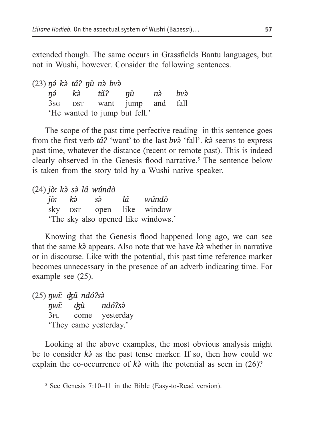extended though. The same occurs in Grassfields Bantu languages, but not in Wushi, however. Consider the following sentences.

(23) *ŋə́ kə̀ tǎʔ ŋʉ̀ nə̀ bvə̀*

*ŋə́ kə̀ tǎʔ ŋʉ̀ nə̀ bvə̀* 3s<sub>G</sub> DST want jump and fall 'He wanted to jump but fell.'

The scope of the past time perfective reading in this sentence goes from the first verb *tǎʔ* 'want' to the last *bvə̀* 'fall'. *kə̀* seems to express past time, whatever the distance (recent or remote past). This is indeed clearly observed in the Genesis flood narrative.<sup>5</sup> The sentence below is taken from the story told by a Wushi native speaker.

(24) *jòː kə̀ sə̀ lâ wúndò jòː kə̀ sə̀ lâ wúndò* sky pst open like window 'The sky also opened like windows.'

Knowing that the Genesis flood happened long ago, we can see that the same *kə̀* appears. Also note that we have *kə̀* whether in narrative or in discourse. Like with the potential, this past time reference marker becomes unnecessary in the presence of an adverb indicating time. For example see (25).

(25) *ŋwɛ᷇ ʤʉ̌ ndóʔsə̀ ŋwɛ᷇ ʤʉ̀ ndóʔsə̀* 3pl come yesterday 'They came yesterday.'

Looking at the above examples, the most obvious analysis might be to consider *kə̀* as the past tense marker. If so, then how could we explain the co-occurrence of *kə̀* with the potential as seen in (26)?

<sup>5</sup> See Genesis 7:10–11 in the Bible (Easy-to-Read version).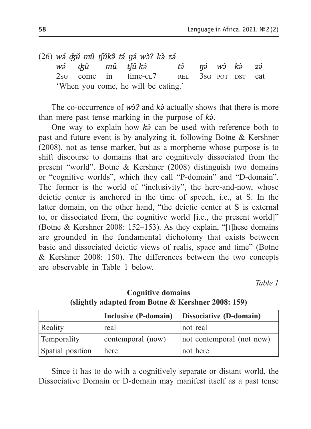(26) *wə́ ʤʉ̌ mû tʃǔkə̂ tə́ ŋə́ wɔ̀ʔ kə̀ zə́ wə́ ʤʉ̀ mû tʃǔ-kə̂ tə́ ŋə́ wɔ̀ kə̀ zə́*  $2$ sg come in time-cl $7$  rel  $3$ sg pot  $DST$  eat 'When you come, he will be eating.'

The co-occurrence of  $w\dot{a}$ ? and  $k\dot{a}$  actually shows that there is more than mere past tense marking in the purpose of *kə̀*.

One way to explain how *kə̀* can be used with reference both to past and future event is by analyzing it, following Botne & Kershner (2008), not as tense marker, but as a morpheme whose purpose is to shift discourse to domains that are cognitively dissociated from the present "world". Botne & Kershner (2008) distinguish two domains or "cognitive worlds", which they call "P-domain" and "D-domain". The former is the world of "inclusivity", the here-and-now, whose deictic center is anchored in the time of speech, i.e., at S. In the latter domain, on the other hand, "the deictic center at S is external to, or dissociated from, the cognitive world [i.e., the present world]" (Botne & Kershner 2008: 152–153). As they explain, "[t]hese domains are grounded in the fundamental dichotomy that exists between basic and dissociated deictic views of realis, space and time" (Botne & Kershner 2008: 150). The differences between the two concepts are observable in table 1 below.

*Table 1*

|                  | Inclusive (P-domain) | Dissociative (D-domain)   |
|------------------|----------------------|---------------------------|
| Reality          | real                 | not real                  |
| Temporality      | contemporal (now)    | not contemporal (not now) |
| Spatial position | l here               | not here                  |

#### **Cognitive domains (slightly adapted from Botne & Kershner 2008: 159)**

Since it has to do with a cognitively separate or distant world, the Dissociative Domain or D-domain may manifest itself as a past tense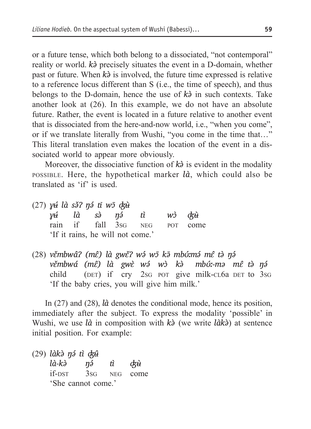or a future tense, which both belong to a dissociated, "not contemporal" reality or world. *k* $\delta$  precisely situates the event in a D-domain, whether past or future. When *kə̀* is involved, the future time expressed is relative to a reference locus different than S (i.e., the time of speech), and thus belongs to the D-domain, hence the use of *kə̀* in such contexts. Take another look at (26). In this example, we do not have an absolute future. Rather, the event is located in a future relative to another event that is dissociated from the here-and-now world, i.e., "when you come", or if we translate literally from Wushi, "you come in the time that…" This literal translation even makes the location of the event in a dissociated world to appear more obviously.

Moreover, the dissociative function of  $k\lambda$  is evident in the modality possible. Here, the hypothetical marker *là*, which could also be translated as 'if' is used.

- (27) *ɣʉ́ là sə̌ʔ ŋə́ tī wɔ̄ ʤʉ̀ ɣʉ́ là sə̀ ŋə́ tì wɔ̀ ʤʉ̀* rain if fall 3sg neg pot come 'If it rains, he will not come.'
- (28) *vɛ̌mbwâʔ (mɛ̂) là gwɛ̌ʔ wə́ wɔ̄ kə̄ mbʊ́ːmə́ mɛ̂ tə̀ ŋə́ vɛ̌mbwá (mɛ̂) là gwɛ̀ wə́ wɔ̀ kə̀ mbʊ́ː-mə mɛ̂ tə̀ ŋə́* child (DET) if  $\text{cry}$  2sg pot give milk-cl6a DET to 3sg 'If the baby cries, you will give him milk.'

In (27) and (28), *là* denotes the conditional mode, hence its position, immediately after the subject. To express the modality 'possible' in Wushi, we use *là* in composition with *kə̀* (we write *làkə̀*) at sentence initial position. For example:

| $(29)$ làkà ná tì ckû |     |    |                 |
|-----------------------|-----|----|-----------------|
| là-kà                 | ηэ́ | tì | ¢ț <del>ù</del> |
| <i>if-DST</i>         | 3sG |    | NEG come        |
| 'She cannot come.'    |     |    |                 |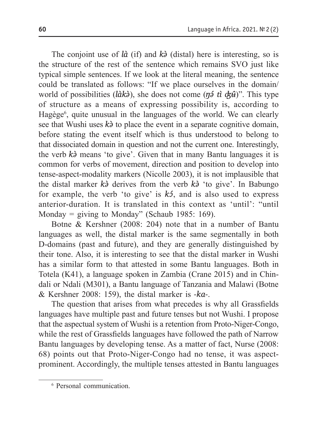The conjoint use of *là* (if) and *kə̀* (distal) here is interesting, so is the structure of the rest of the sentence which remains SVO just like typical simple sentences. If we look at the literal meaning, the sentence could be translated as follows: "If we place ourselves in the domain/ world of possibilities (*làk* $\delta$ ), she does not come ( $\eta \delta$  *tì d* $\dot{\alpha}$ *i*)". This type of structure as a means of expressing possibility is, according to Hagège<sup>6</sup>, quite unusual in the languages of the world. We can clearly see that Wushi uses *kə̀*to place the event in a separate cognitive domain, before stating the event itself which is thus understood to belong to that dissociated domain in question and not the current one. Interestingly, the verb *kə̀* means 'to give'. Given that in many Bantu languages it is common for verbs of movement, direction and position to develop into tense-aspect-modality markers (Nicolle 2003), it is not implausible that the distal marker *kə̀* derives from the verb *kə̀* 'to give'. In Babungo for example, the verb 'to give' is *kɔ́*, and is also used to express anterior-duration. It is translated in this context as 'until': "until Monday = giving to Monday" (Schaub 1985: 169).

Botne & Kershner (2008: 204) note that in a number of Bantu languages as well, the distal marker is the same segmentally in both D-domains (past and future), and they are generally distinguished by their tone. Also, it is interesting to see that the distal marker in Wushi has a similar form to that attested in some Bantu languages. Both in Totela (K41), a language spoken in Zambia (Crane 2015) and in Chindali or Ndali (M301), a Bantu language of Tanzania and Malawi (Botne & Kershner 2008: 159), the distal marker is *-ka-*.

The question that arises from what precedes is why all Grassfields languages have multiple past and future tenses but not Wushi. I propose that the aspectual system of Wushi is a retention from Proto-Niger-Congo, while the rest of Grassfields languages have followed the path of Narrow Bantu languages by developing tense. As a matter of fact, Nurse (2008: 68) points out that Proto-Niger-Congo had no tense, it was aspectprominent. Accordingly, the multiple tenses attested in Bantu languages

<sup>6</sup> Personal communication.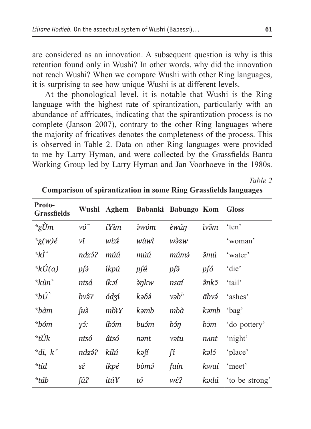are considered as an innovation. A subsequent question is why is this retention found only in Wushi? In other words, why did the innovation not reach Wushi? When we compare Wushi with other Ring languages, it is surprising to see how unique Wushi is at different levels.

At the phonological level, it is notable that Wushi is the Ring language with the highest rate of spirantization, particularly with an abundance of affricates, indicating that the spirantization process is no complete (Janson 2007), contrary to the other Ring languages where the majority of fricatives denotes the completeness of the process. This is observed in table 2. Data on other Ring languages were provided to me by Larry Hyman, and were collected by the Grassfields Bantu Working Group led by Larry Hyman and Jan Voorhoeve in the 1980s.

*Table 2*

| Proto-<br><b>Grassfields</b> |                |                 | Wushi Aghem Babanki Babungo Kom |                        |       | <b>Gloss</b>   |
|------------------------------|----------------|-----------------|---------------------------------|------------------------|-------|----------------|
| *gÙm                         | $v\acute{o}^-$ | íYím            | <i><b>àwóm</b></i>              | èwún                   | ìvām  | 'ten'          |
| $*g(w)$ é                    | νī             | wizí            | wùwì                            | wàzw                   |       | 'woman'        |
| *kÌ′                         | ndzó?          | múú             | múú                             | múmá                   | ōтú   | 'water'        |
| $*$ kÚ(a)                    | pfá            | íkpú            | pf <del>ú</del>                 | pfô                    | pfó   | 'die'          |
| *kùn`                        | ntsá           | íkoí            | $\partial \eta k w$             | nsaí                   | ânkō  | 'tail'         |
| $*b\acute{U}$                | bvâ?           | ódzí            | kəbə                            | $v\partial b^h$        | ābvэ́ | 'ashes'        |
| *bàm                         | fttà           | $mb\mathcal{X}$ | kəmb                            | mbà                    | kəmb  | 'bag'          |
| *bóm                         | $\gamma$ 5:    | íbóm            | buɔ́m                           | $b\acute{\sigma} \eta$ | bīm   | 'do pottery'   |
| *tÚk                         | ntsó           | âtsó            | nant                            | vətu                   | nant  | 'night'        |
| $*di, k'$                    | ndzá?          | kilú            | kəfí                            | $\int$                 | kəló  | 'place'        |
| *tíd                         | sέ             | ikpé            | bòmá                            | faín                   | kwaí  | 'meet'         |
| *táb                         | $f\hat{u}$ ?   | itúY            | tó                              | wέ?                    | kədá  | 'to be strong' |

**Comparison of spirantization in some Ring Grassfields languages**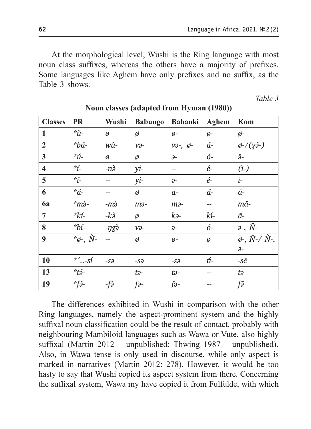At the morphological level, Wushi is the Ring language with most noun class suffixes, whereas the others have a majority of prefixes. Some languages like Aghem have only prefixes and no suffix, as the Table 3 shows.

 *Table 3*

| <b>Classes</b>          | <b>PR</b>                                    | Wushi      |                  | Babungo Babanki Aghem          |               | Kom                                        |
|-------------------------|----------------------------------------------|------------|------------------|--------------------------------|---------------|--------------------------------------------|
| 1                       | *ù-                                          | Ø          | ø                | ø-                             | $\emptyset$ - | ø-                                         |
| $\overline{2}$          | *bá-                                         | wù-        | $v_{\partial^-}$ | $v \partial -$ , $\emptyset$ - | á-            | $\phi$ -/(yá-)                             |
| $\mathbf{3}$            | $\displaystyle{{}^*\!{\hat u}}\displaystyle$ | Ø          | ø                | $\partial$ -                   | ó-            | ā-                                         |
| $\overline{\mathbf{4}}$ | *í-                                          | $-n\delta$ | yi-              |                                | é-            | $(i-)$                                     |
| 5                       | $\dot{r}$                                    |            | yi-              | $\partial$ -                   | é-            | ī-                                         |
| 6                       | *á-                                          |            | Ø                | $a-$                           | á-            | ā-                                         |
| 6a                      | $\dot{m}$ .                                  | -mà        | тә-              | $m$ ə-                         |               | mā-                                        |
| 7                       | *kí-                                         | -kà        | ø                | kə-                            | kí-           | $\bar{a}$ -                                |
| 8                       | *bí-                                         | -ŋgò       | $v_{\partial^-}$ | $\partial$ -                   | ó-            | $\bar{\partial}$ -, $\bar{N}$ -            |
| 9                       | $\overline{\phi}$ , $\overline{\dot{N}}$ -   |            | Ø                | ø-                             | Ø             | $\varnothing$ -, $\bar{N}$ -/ $\bar{N}$ -, |
|                         |                                              |            |                  |                                |               | $\partial$ -                               |
| 10                      | $^*$ $\ldots$ -sí                            | $-S3$      | -sə              | $-S3$                          | tí-           | -sē                                        |
| 13                      | *tź-                                         |            | tə-              | tə-                            |               | tā                                         |
| 19                      | $*f\delta -$                                 | -fə        | $f_{\partial^-}$ | $f_{\partial^-}$               |               | fə                                         |

| Noun classes (adapted from Hyman (1980)) |  |  |  |  |
|------------------------------------------|--|--|--|--|
|------------------------------------------|--|--|--|--|

The differences exhibited in Wushi in comparison with the other Ring languages, namely the aspect-prominent system and the highly suffixal noun classification could be the result of contact, probably with neighbouring Mambiloid languages such as Wawa or Vute, also highly suffixal (Martin 2012 – unpublished; Thwing 1987 – unpublished). Also, in Wawa tense is only used in discourse, while only aspect is marked in narratives (Martin 2012: 278). However, it would be too hasty to say that Wushi copied its aspect system from there. Concerning the suffixal system, Wawa my have copied it from Fulfulde, with which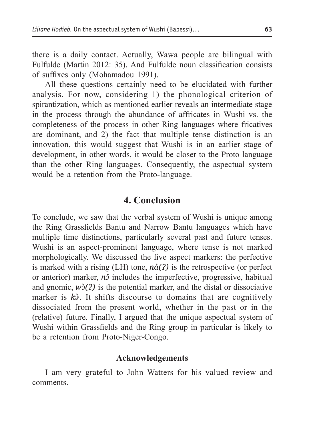there is a daily contact. Actually, Wawa people are bilingual with Fulfulde (Martin 2012: 35). And Fulfulde noun classification consists of suffixes only (Mohamadou 1991).

All these questions certainly need to be elucidated with further analysis. For now, considering 1) the phonological criterion of spirantization, which as mentioned earlier reveals an intermediate stage in the process through the abundance of affricates in Wushi vs. the completeness of the process in other Ring languages where fricatives are dominant, and 2) the fact that multiple tense distinction is an innovation, this would suggest that Wushi is in an earlier stage of development, in other words, it would be closer to the Proto language than the other Ring languages. Consequently, the aspectual system would be a retention from the Proto-language.

### **4. Conclusion**

To conclude, we saw that the verbal system of Wushi is unique among the Ring Grassfields Bantu and Narrow Bantu languages which have multiple time distinctions, particularly several past and future tenses. Wushi is an aspect-prominent language, where tense is not marked morphologically. We discussed the five aspect markers: the perfective is marked with a rising (LH) tone, *nà(ʔ)* is the retrospective (or perfect or anterior) marker, *n*<sup>y</sup> includes the imperfective, progressive, habitual and gnomic,  $w\hat{O}(2)$  is the potential marker, and the distal or dissociative marker is *kə̀*. It shifts discourse to domains that are cognitively dissociated from the present world, whether in the past or in the (relative) future. Finally, I argued that the unique aspectual system of Wushi within Grassfields and the Ring group in particular is likely to be a retention from Proto-Niger-Congo.

### **Acknowledgements**

I am very grateful to John Watters for his valued review and comments.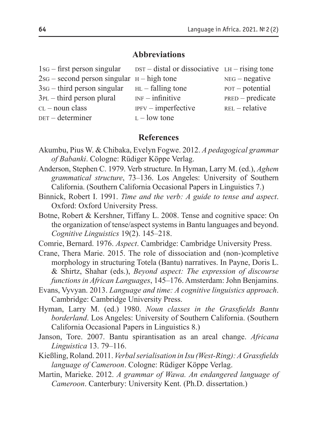#### **Abbreviations**

| $1$ s $-$ first person singular                | $DST - distal$ or dissociative $LH - rising$ tone |                    |
|------------------------------------------------|---------------------------------------------------|--------------------|
| $2sg$ – second person singular $H$ – high tone |                                                   | $NEG - negative$   |
| $3sG - third$ person singular                  | $HL$ – falling tone                               | $POT - potential$  |
| $3PL$ – third person plural                    | $INF$ – infinitive                                | $PRED - predicate$ |
| $CL$ – noun class                              | $IPFV$ – imperfective                             | $REL$ – relative   |
| DET – determiner                               | $L - low$ tone                                    |                    |

#### **References**

- Akumbu, Pius W. & Chibaka, Evelyn Fogwe. 2012. *A pedagogical grammar of Babanki*. Cologne: Rüdiger Köppe Verlag.
- Anderson, Stephen C. 1979. Verb structure. In Hyman, Larry M. (ed.), *Aghem grammatical structure*, 73–136. Los Angeles: University of Southern California. (Southern California Occasional Papers in Linguistics 7.)
- Binnick, Robert I. 1991. *Time and the verb: A guide to tense and aspect*. Oxford: Oxford University Press.
- Botne, Robert & Kershner, Tiffany L. 2008. Tense and cognitive space: On the organization of tense/aspect systems in Bantu languages and beyond. *Cognitive Linguistics* 19(2). 145–218.

Comrie, Bernard. 1976. *Aspect*. Cambridge: Cambridge University Press.

- Crane, Thera Marie. 2015. The role of dissociation and (non-)completive morphology in structuring Totela (Bantu) narratives. In Payne, Doris L. & Shirtz, Shahar (eds.), *Beyond aspect: The expression of discourse functions in African Languages*, 145–176. Amsterdam: John Benjamins.
- Evans, Vyvyan. 2013. *Language and time: A cognitive linguistics approach*. Cambridge: Cambridge University Press.
- Hyman, Larry M. (ed.) 1980. *Noun classes in the Grassfields Bantu borderland*. Los Angeles: University of Southern California. (Southern California Occasional Papers in Linguistics 8.)
- Janson, Tore. 2007. Bantu spirantisation as an areal change. *Africana Linguistica* 13. 79–116.
- Kießling, Roland. 2011. *Verbal serialisation in Isu (West-Ring): A Grassfields language of Cameroon*. Cologne: Rüdiger Köppe Verlag.
- Martin, Marieke. 2012. *A grammar of Wawa. An endangered language of Cameroon*. Canterbury: University Kent. (Ph.D. dissertation.)